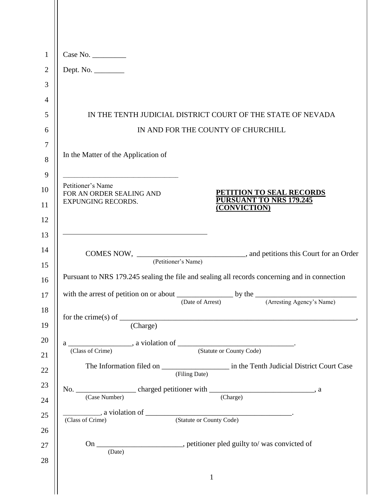| $\mathbf{1}$   | Case No.                                                                                                                                                                                                                                                                                                                                                                                                                      |  |  |  |  |
|----------------|-------------------------------------------------------------------------------------------------------------------------------------------------------------------------------------------------------------------------------------------------------------------------------------------------------------------------------------------------------------------------------------------------------------------------------|--|--|--|--|
| $\overline{2}$ | Dept. No.                                                                                                                                                                                                                                                                                                                                                                                                                     |  |  |  |  |
| 3              |                                                                                                                                                                                                                                                                                                                                                                                                                               |  |  |  |  |
| 4              |                                                                                                                                                                                                                                                                                                                                                                                                                               |  |  |  |  |
| 5              | IN THE TENTH JUDICIAL DISTRICT COURT OF THE STATE OF NEVADA                                                                                                                                                                                                                                                                                                                                                                   |  |  |  |  |
| 6              | IN AND FOR THE COUNTY OF CHURCHILL                                                                                                                                                                                                                                                                                                                                                                                            |  |  |  |  |
| $\overline{7}$ |                                                                                                                                                                                                                                                                                                                                                                                                                               |  |  |  |  |
| 8              | In the Matter of the Application of                                                                                                                                                                                                                                                                                                                                                                                           |  |  |  |  |
| 9              |                                                                                                                                                                                                                                                                                                                                                                                                                               |  |  |  |  |
| 10             | Petitioner's Name<br><b>PETITION TO SEAL RECORDS</b><br>FOR AN ORDER SEALING AND                                                                                                                                                                                                                                                                                                                                              |  |  |  |  |
| 11             | PURSUANT TO NRS 179.245<br><b>EXPUNGING RECORDS.</b><br>(CONVICTION)                                                                                                                                                                                                                                                                                                                                                          |  |  |  |  |
| 12             |                                                                                                                                                                                                                                                                                                                                                                                                                               |  |  |  |  |
| 13             |                                                                                                                                                                                                                                                                                                                                                                                                                               |  |  |  |  |
| 14             |                                                                                                                                                                                                                                                                                                                                                                                                                               |  |  |  |  |
| 15             | Pursuant to NRS 179.245 sealing the file and sealing all records concerning and in connection                                                                                                                                                                                                                                                                                                                                 |  |  |  |  |
| 16             |                                                                                                                                                                                                                                                                                                                                                                                                                               |  |  |  |  |
| 17             | (Arresting Agency's Name)<br>(Date of Arrest)                                                                                                                                                                                                                                                                                                                                                                                 |  |  |  |  |
| 18<br>19       | for the crime(s) of $\frac{1}{\sqrt{1-\frac{1}{\sqrt{1-\frac{1}{\sqrt{1-\frac{1}{\sqrt{1-\frac{1}{\sqrt{1-\frac{1}{\sqrt{1-\frac{1}{\sqrt{1-\frac{1}{\sqrt{1-\frac{1}{\sqrt{1-\frac{1}{\sqrt{1-\frac{1}{\sqrt{1-\frac{1}{\sqrt{1-\frac{1}{\sqrt{1-\frac{1}{\sqrt{1-\frac{1}{\sqrt{1-\frac{1}{\sqrt{1-\frac{1}{\sqrt{1-\frac{1}{\sqrt{1-\frac{1}{\sqrt{1-\frac{1}{\sqrt{1-\frac{1}{\sqrt{1-\frac{1}{\sqrt{1-\frac$<br>(Charge) |  |  |  |  |
| 20             | a $\frac{1}{\sqrt{C \cdot \text{Loss of } C \cdot \text{time}}}$ , a violation of $\frac{1}{\sqrt{C \cdot \text{Loss of } C \cdot \text{time}}}$ .                                                                                                                                                                                                                                                                            |  |  |  |  |
| 21             |                                                                                                                                                                                                                                                                                                                                                                                                                               |  |  |  |  |
| 22             | (Filing Date)                                                                                                                                                                                                                                                                                                                                                                                                                 |  |  |  |  |
| 23             |                                                                                                                                                                                                                                                                                                                                                                                                                               |  |  |  |  |
| 24             |                                                                                                                                                                                                                                                                                                                                                                                                                               |  |  |  |  |
| 25<br>26       | (Class of Crime)                                                                                                                                                                                                                                                                                                                                                                                                              |  |  |  |  |
| 27<br>28       | On _______________________, petitioner pled guilty to/ was convicted of<br>(Date)                                                                                                                                                                                                                                                                                                                                             |  |  |  |  |
|                | $\mathbf{1}$                                                                                                                                                                                                                                                                                                                                                                                                                  |  |  |  |  |
|                |                                                                                                                                                                                                                                                                                                                                                                                                                               |  |  |  |  |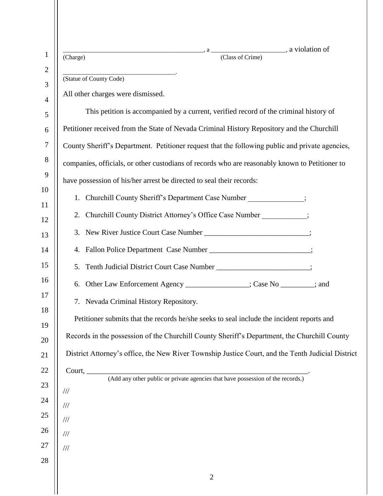| $\mathbf{1}$        | $\begin{array}{c}\n \cdot \text{a} \\ \hline\n \text{ (Class of C,)}\n \end{array}$ , a violation of<br>(Charge) |  |  |  |
|---------------------|------------------------------------------------------------------------------------------------------------------|--|--|--|
| $\overline{2}$<br>3 | (Statue of County Code)                                                                                          |  |  |  |
| $\overline{4}$      | All other charges were dismissed.                                                                                |  |  |  |
| 5                   | This petition is accompanied by a current, verified record of the criminal history of                            |  |  |  |
| 6                   | Petitioner received from the State of Nevada Criminal History Repository and the Churchill                       |  |  |  |
| $\overline{7}$      | County Sheriff's Department. Petitioner request that the following public and private agencies,                  |  |  |  |
| 8                   | companies, officials, or other custodians of records who are reasonably known to Petitioner to                   |  |  |  |
| 9                   | have possession of his/her arrest be directed to seal their records:                                             |  |  |  |
| 10                  | Churchill County Sheriff's Department Case Number ;<br>1.                                                        |  |  |  |
| 11                  | Churchill County District Attorney's Office Case Number _________;<br>2.                                         |  |  |  |
| 12<br>13            | New River Justice Court Case Number _____________________________;<br>3.                                         |  |  |  |
| 14                  | Fallon Police Department Case Number ________________________;<br>4.                                             |  |  |  |
| 15                  | Tenth Judicial District Court Case Number _____________________;<br>5.                                           |  |  |  |
| 16                  | Other Law Enforcement Agency ________________; Case No ________; and<br>6.                                       |  |  |  |
| 17                  | 7. Nevada Criminal History Repository.                                                                           |  |  |  |
| 18                  | Petitioner submits that the records he/she seeks to seal include the incident reports and                        |  |  |  |
| 19                  |                                                                                                                  |  |  |  |
| 20                  | Records in the possession of the Churchill County Sheriff's Department, the Churchill County                     |  |  |  |
| 21                  | District Attorney's office, the New River Township Justice Court, and the Tenth Judicial District                |  |  |  |
| 22                  |                                                                                                                  |  |  |  |
| 23<br>24            | $\frac{1}{1}$                                                                                                    |  |  |  |
| $25\,$              | $/\!/ \!/$                                                                                                       |  |  |  |
| 26                  | $/ \! / \! /$<br>$/\!/ /$                                                                                        |  |  |  |
| $27\,$              | $/ \! / \! /$                                                                                                    |  |  |  |
| 28                  |                                                                                                                  |  |  |  |
|                     | $\overline{2}$                                                                                                   |  |  |  |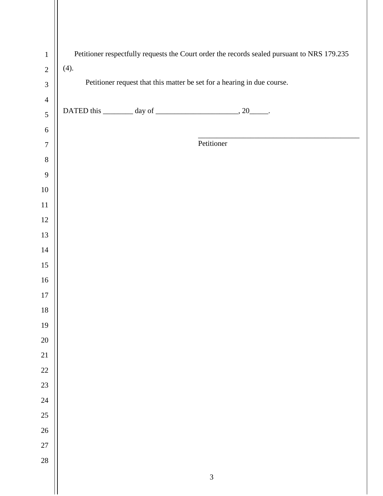| $\mathbf{1}$     | Petitioner respectfully requests the Court order the records sealed pursuant to NRS 179.235 |                                                                     |                |  |  |  |
|------------------|---------------------------------------------------------------------------------------------|---------------------------------------------------------------------|----------------|--|--|--|
| $\sqrt{2}$       | (4).                                                                                        |                                                                     |                |  |  |  |
| $\mathfrak{Z}$   | Petitioner request that this matter be set for a hearing in due course.                     |                                                                     |                |  |  |  |
| $\overline{4}$   |                                                                                             |                                                                     |                |  |  |  |
| $\sqrt{5}$       |                                                                                             | DATED this $\_\_\_\_\_$ day of $\_\_\_\_\_\_\_$ , 20 $\_\_\_\_\_$ . |                |  |  |  |
| $6\,$            |                                                                                             |                                                                     |                |  |  |  |
| $\boldsymbol{7}$ |                                                                                             |                                                                     | Petitioner     |  |  |  |
| $8\,$            |                                                                                             |                                                                     |                |  |  |  |
| $\mathbf{9}$     |                                                                                             |                                                                     |                |  |  |  |
| $10\,$           |                                                                                             |                                                                     |                |  |  |  |
| $11\,$           |                                                                                             |                                                                     |                |  |  |  |
| $12\,$           |                                                                                             |                                                                     |                |  |  |  |
| 13               |                                                                                             |                                                                     |                |  |  |  |
| $14\,$           |                                                                                             |                                                                     |                |  |  |  |
| 15               |                                                                                             |                                                                     |                |  |  |  |
| $16\,$           |                                                                                             |                                                                     |                |  |  |  |
| $17\,$           |                                                                                             |                                                                     |                |  |  |  |
| $18\,$           |                                                                                             |                                                                     |                |  |  |  |
| 19               |                                                                                             |                                                                     |                |  |  |  |
| $20\,$           |                                                                                             |                                                                     |                |  |  |  |
| 21               |                                                                                             |                                                                     |                |  |  |  |
| $22\,$           |                                                                                             |                                                                     |                |  |  |  |
| 23               |                                                                                             |                                                                     |                |  |  |  |
| $24\,$           |                                                                                             |                                                                     |                |  |  |  |
| 25               |                                                                                             |                                                                     |                |  |  |  |
| $26\,$           |                                                                                             |                                                                     |                |  |  |  |
| $27\,$           |                                                                                             |                                                                     |                |  |  |  |
| 28               |                                                                                             |                                                                     |                |  |  |  |
|                  |                                                                                             |                                                                     | $\mathfrak{Z}$ |  |  |  |
|                  |                                                                                             |                                                                     |                |  |  |  |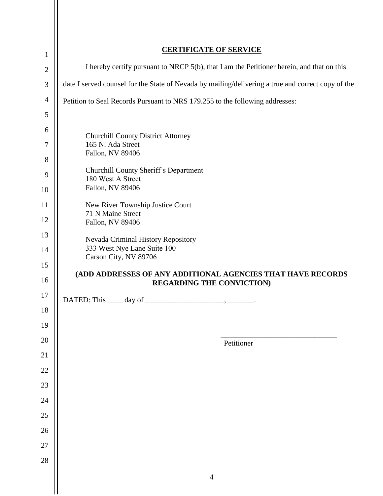| $\mathbf{1}$   | <b>CERTIFICATE OF SERVICE</b>                                                                      |  |  |
|----------------|----------------------------------------------------------------------------------------------------|--|--|
| $\overline{2}$ | I hereby certify pursuant to NRCP 5(b), that I am the Petitioner herein, and that on this          |  |  |
| 3              | date I served counsel for the State of Nevada by mailing/delivering a true and correct copy of the |  |  |
| $\overline{4}$ | Petition to Seal Records Pursuant to NRS 179.255 to the following addresses:                       |  |  |
| 5              |                                                                                                    |  |  |
| 6              | <b>Churchill County District Attorney</b>                                                          |  |  |
| $\tau$         | 165 N. Ada Street                                                                                  |  |  |
| 8              | Fallon, NV 89406                                                                                   |  |  |
| 9              | Churchill County Sheriff's Department<br>180 West A Street                                         |  |  |
| 10             | Fallon, NV 89406                                                                                   |  |  |
| 11             | New River Township Justice Court<br>71 N Maine Street                                              |  |  |
| 12             | Fallon, NV 89406                                                                                   |  |  |
| 13             | Nevada Criminal History Repository                                                                 |  |  |
| 14             | 333 West Nye Lane Suite 100<br>Carson City, NV 89706                                               |  |  |
| 15             | (ADD ADDRESSES OF ANY ADDITIONAL AGENCIES THAT HAVE RECORDS                                        |  |  |
| 16             | <b>REGARDING THE CONVICTION)</b>                                                                   |  |  |
|                |                                                                                                    |  |  |
| 17             |                                                                                                    |  |  |
| 18             |                                                                                                    |  |  |
| 19             |                                                                                                    |  |  |
| 20             | Petitioner                                                                                         |  |  |
| 21             |                                                                                                    |  |  |
| 22             |                                                                                                    |  |  |
| 23             |                                                                                                    |  |  |
| 24             |                                                                                                    |  |  |
| 25             |                                                                                                    |  |  |
| 26             |                                                                                                    |  |  |
| $27\,$         |                                                                                                    |  |  |
| 28             | $\overline{4}$                                                                                     |  |  |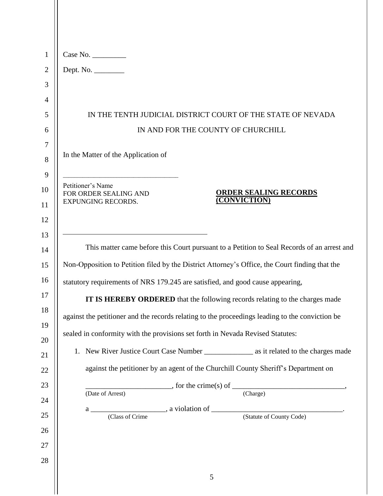| $\mathbf{1}$   | Case No.                                                                                            |  |  |  |
|----------------|-----------------------------------------------------------------------------------------------------|--|--|--|
| $\mathfrak{2}$ | Dept. No. __________                                                                                |  |  |  |
| 3              |                                                                                                     |  |  |  |
| $\overline{4}$ |                                                                                                     |  |  |  |
| 5              | IN THE TENTH JUDICIAL DISTRICT COURT OF THE STATE OF NEVADA                                         |  |  |  |
| 6              | IN AND FOR THE COUNTY OF CHURCHILL                                                                  |  |  |  |
| 7              |                                                                                                     |  |  |  |
| 8              | In the Matter of the Application of                                                                 |  |  |  |
| 9              |                                                                                                     |  |  |  |
| 10             | Petitioner's Name<br><b>ORDER SEALING RECORDS</b><br>FOR ORDER SEALING AND                          |  |  |  |
| 11             | (CONVICTION)<br>EXPUNGING RECORDS.                                                                  |  |  |  |
| 12             |                                                                                                     |  |  |  |
| 13             |                                                                                                     |  |  |  |
| 14             | This matter came before this Court pursuant to a Petition to Seal Records of an arrest and          |  |  |  |
| 15             | Non-Opposition to Petition filed by the District Attorney's Office, the Court finding that the      |  |  |  |
| 16             | statutory requirements of NRS 179.245 are satisfied, and good cause appearing,                      |  |  |  |
| 17             | IT IS HEREBY ORDERED that the following records relating to the charges made                        |  |  |  |
| 18             | against the petitioner and the records relating to the proceedings leading to the conviction be     |  |  |  |
| 19             | sealed in conformity with the provisions set forth in Nevada Revised Statutes:                      |  |  |  |
| 20             |                                                                                                     |  |  |  |
| 21             |                                                                                                     |  |  |  |
| 22             | against the petitioner by an agent of the Churchill County Sheriff's Department on                  |  |  |  |
| 23             | $\frac{1}{\text{Re of Arrest}}$ , for the crime(s) of $\frac{1}{\text{Charge}}$<br>(Date of Arrest) |  |  |  |
| 24             |                                                                                                     |  |  |  |
| 25             |                                                                                                     |  |  |  |
| 26             |                                                                                                     |  |  |  |
| 27             |                                                                                                     |  |  |  |
| 28             |                                                                                                     |  |  |  |
|                | 5                                                                                                   |  |  |  |

 $\mathsf{I}$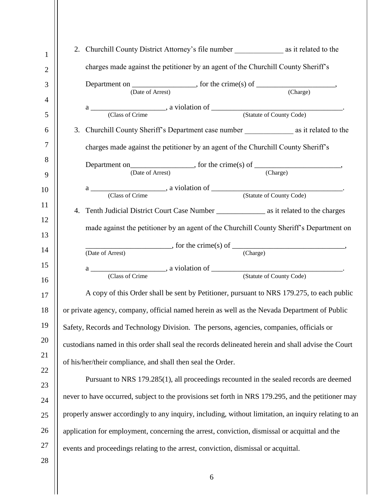| 1              |                                                                                                    |                                                                                                        |  |  |  |
|----------------|----------------------------------------------------------------------------------------------------|--------------------------------------------------------------------------------------------------------|--|--|--|
| $\overline{2}$ | charges made against the petitioner by an agent of the Churchill County Sheriff's                  |                                                                                                        |  |  |  |
| 3              | Department on $\overline{\qquad}$ , for the crime(s) of $\overline{\qquad}$ (Charge)               |                                                                                                        |  |  |  |
| 4              |                                                                                                    |                                                                                                        |  |  |  |
| 5              |                                                                                                    |                                                                                                        |  |  |  |
| 6              |                                                                                                    | 3. Churchill County Sheriff's Department case number ____________________________ as it related to the |  |  |  |
| 7              |                                                                                                    | charges made against the petitioner by an agent of the Churchill County Sheriff's                      |  |  |  |
| 8              |                                                                                                    |                                                                                                        |  |  |  |
| 9              |                                                                                                    | Department on $\overline{\text{(Date of Arrest)}}$ , for the crime(s) of $\overline{\text{(Change)}}$  |  |  |  |
| 10             |                                                                                                    |                                                                                                        |  |  |  |
|                |                                                                                                    |                                                                                                        |  |  |  |
| 11             |                                                                                                    |                                                                                                        |  |  |  |
| 12<br>13       | made against the petitioner by an agent of the Churchill County Sheriff's Department on            |                                                                                                        |  |  |  |
|                |                                                                                                    |                                                                                                        |  |  |  |
| 14             | Arrest) for the crime(s) of $\overline{\text{(-} \text{(-)}$ .<br>(Date of Arrest)                 |                                                                                                        |  |  |  |
| 15             |                                                                                                    |                                                                                                        |  |  |  |
| 16             |                                                                                                    |                                                                                                        |  |  |  |
| 17             |                                                                                                    | A copy of this Order shall be sent by Petitioner, pursuant to NRS 179.275, to each public              |  |  |  |
| 18             | or private agency, company, official named herein as well as the Nevada Department of Public       |                                                                                                        |  |  |  |
| 19             |                                                                                                    | Safety, Records and Technology Division. The persons, agencies, companies, officials or                |  |  |  |
| 20             | custodians named in this order shall seal the records delineated herein and shall advise the Court |                                                                                                        |  |  |  |
| 21             | of his/her/their compliance, and shall then seal the Order.                                        |                                                                                                        |  |  |  |
| 22             |                                                                                                    |                                                                                                        |  |  |  |
| 23             | Pursuant to NRS 179.285(1), all proceedings recounted in the sealed records are deemed             |                                                                                                        |  |  |  |
| 24             | never to have occurred, subject to the provisions set forth in NRS 179.295, and the petitioner may |                                                                                                        |  |  |  |
| 25             |                                                                                                    | properly answer accordingly to any inquiry, including, without limitation, an inquiry relating to an   |  |  |  |
| 26             |                                                                                                    | application for employment, concerning the arrest, conviction, dismissal or acquittal and the          |  |  |  |
| 27             | events and proceedings relating to the arrest, conviction, dismissal or acquittal.                 |                                                                                                        |  |  |  |
| 28             |                                                                                                    |                                                                                                        |  |  |  |

6